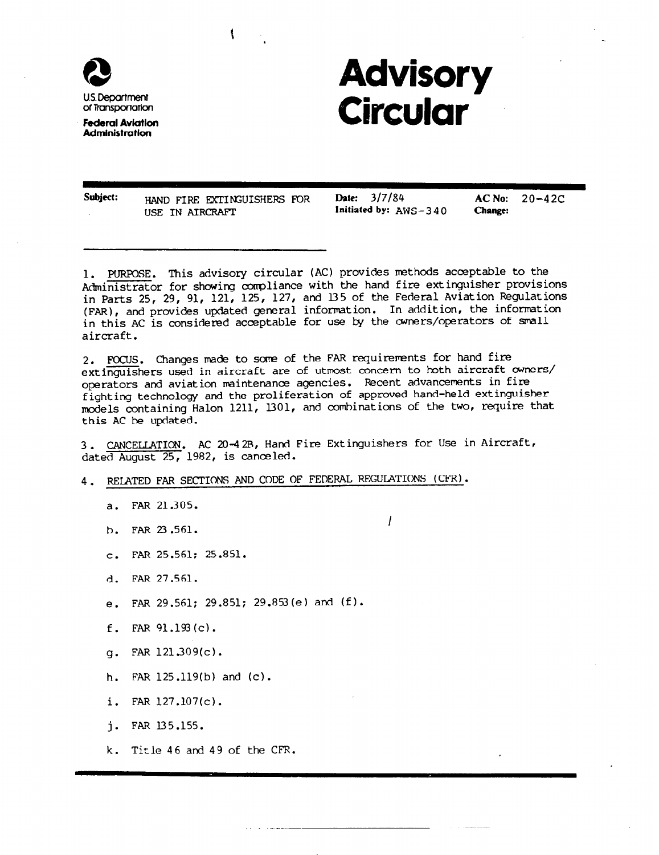

U.S. Department of Transportation

Federal Aviation **Administration** 

# **Advisory** Circular

| Subject: | HAND FIRE EXTINGUISHERS FOR<br>USE IN AIRCRAFT | Date: 3/7/84<br>Initiated by: $AMS-340$ | <b>Change:</b> | $AC No: 20-42C$ |
|----------|------------------------------------------------|-----------------------------------------|----------------|-----------------|
|          |                                                |                                         |                |                 |

1. PURF0SE. This advisory circular (AC) provides methods acceptable to the Administrator for showing compliance with the hand fire extinguisher provisions in Parts 25, 29, 91, 121, 125, 127, and 135 of the Federal Aviation Regulations (FAR), and provides updated general information. In addition, the information in this AC is considered acceptable for use by the cwners/operators of small aircraft.

2. FOCUS. Changes made to some of the FAR requirements for hand fire extinquishers used in aircraft are of utmost concern to both aircraft owners/ operators and aviation reintenance agencies. Recent advancements in fire fighting technology and the proliferation of approved hand-held extinguisher models containing Halon 1211, 1301, and combinations of the two, require that this AC be updated.

2. CANCELLATION. AC 20-42B, Hand Fire Extinguishers for Use in Aircraf dated August 25, 1982, is canceled.

#### 4. RELATED FAR SECTIONS AND CODE OF FEDERAL REGULATIONS (CFR).

- a. FAR 21.305.
- b.  $\begin{array}{c} \n\text{FAP} & \text{P3.561} \\
\hline\n\end{array}$
- C. FAR 25.561; 25.851.
- d. FAR 27.561.
- e. FAR 29.561; 29.851; 29.853(e) and (f).

 $\mathbf{I}$ 

- f. FAR 91.193(c).
- $\alpha$ . FAR 121.309(c).
- h. FAR  $125.119(b)$  and  $(c)$ .
- $\frac{1}{2}$  rin 127.107(c).
- j-FAR 135.155.
- k. Title 46 and 49 of the CFR.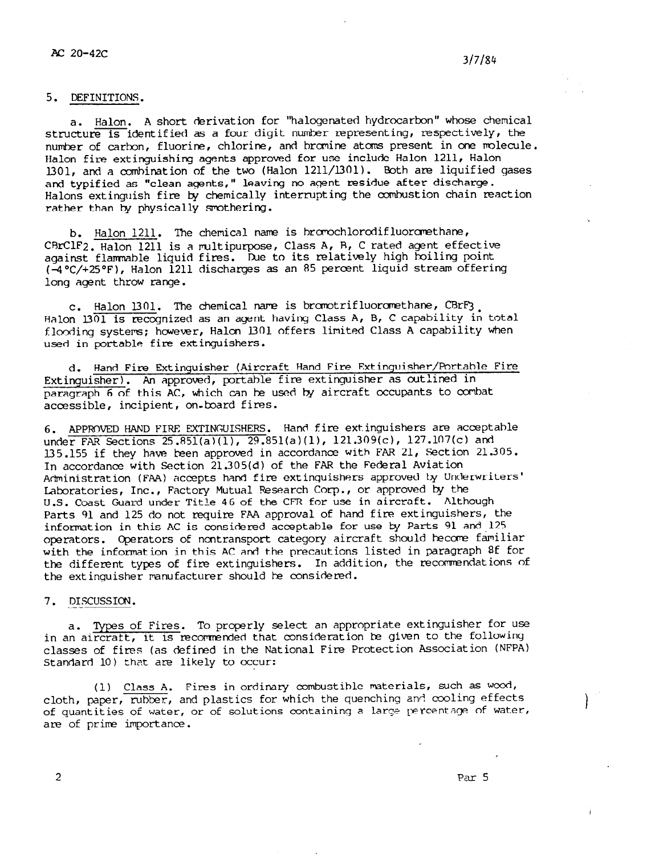#### 5. DEFINITIONS.

a. Halon. A short derivation for "halogenated hydrocarbon" whose chemical structure is identified as a four digit number representing, respectively, the number of carbon, fluorine, chlorine, and bromine atoms present in one molecule. Halon fire extinguishing agents approved for use include Halon 1211, Halon l301, and A combination of the two (Halon 1211/l301). Both are liquified gases and typified as "clean agents," leaving no agent residue after discharge. Halons extinguish fire by chemically interrupting the combustion chain reaction rather than by physically smothering.

b. Halon 1211. The chemical name is bromochlorodifluoromethane, CBrClF2. Halon 1211 is a multipurpose, Class A, B, C rated agent effective against flammable liquid fires. Due to its relatively high boiling point (-4"C/+2S°F), Halon 1211 discharges as an 85 percent liquid stream offering long agent throw range.

c. Halon 1301. The chemical name is bromotrifluoromethane,  $CBrF_3$ . Halon 1301 is recognized as an agent having Class A, B, C capability in total flooding systers; however, Halon 1301 offers limited Class A capability when used in portable fire extinguishers.

d. Hand Fire Extinguisher (Aircraft Hand Fire Extinguisher/Portable Fire Extinguisher). An approved, portable fire extinguisher as outlined in paragraph  $6$  of this AC, which can be used by aircraft occupants to combat accessible, incipient, on-toard fires.

6. APPROVED HAND FIRE FXTINGUISHERS. Hand fire ext.inguishers are acceptable under FAR Sections 25.851(a)(1), 29.851(a)(1), 121.309(c), 127.107(c) and 135.155 if they have been approved in accordance with FAR 21, Section 21.305. In accordance with Section 21.305(d) of the FAR the Federal Aviation Administration (FAA) accepts hand fire extinguishers approved by Underwriters' Laboratories, Inc., Factory Mutual Research Corp., or approved by the U.S. Coast Guard under Title 46 of the CFR for use in aircraft. Although Parts 91 and 125 do not require FAA approval of hand fire extinguishers, the information in this AC is considered acceptable for use by Parts 91 and 125 operators. Operators of nontransport category aircraft should become familiar with the information in this AC and the precautions listed in paragraph 8f for which different types of fire and dimensional types of  $\frac{1}{2}$  is different to record ions of the extinguisher mnufacturer should be considered.

7. DISCUSSIoN.

a. Types of Fires. To properly select an appropriate extinguisher for use in an aircraft, it is recomrended that consideration he given to the following classes of fires (as defined in the National Fire Protection Association (NFPA) Standard 10) that are likely to occur:<br>Classes Of files (as Oeilleu in the no

(1) Class A. Fires in ordinary combustible materials, such as wood, cloth, paper, rubber, and plastics for which the quenching and cooling effects  $\epsilon$  doth, paper, functions of solutions containing  $\epsilon$  and  $\epsilon$  and  $\epsilon$  and  $\epsilon$  water,  $\epsilon$  and  $\epsilon$  water,  $\epsilon$  and  $\epsilon$  water,  $\epsilon$  and  $\epsilon$  water,  $\epsilon$  and  $\epsilon$  water,  $\epsilon$  and  $\epsilon$  water,  $\epsilon$  and  $\epsilon$  water,  $\epsilon$ or quantities or water,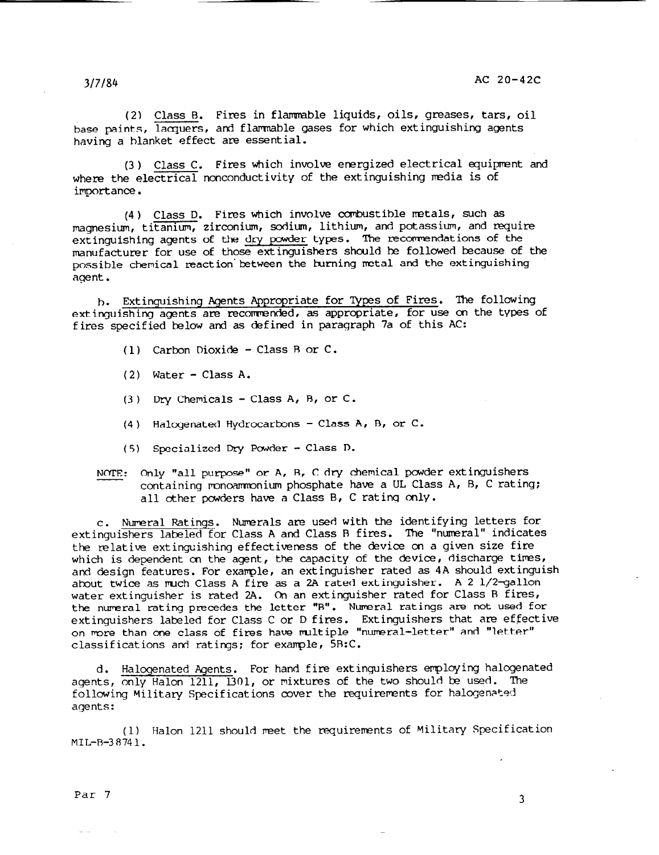(2) Class B. Fires in flammable liquids, oils, greases, tars, oil base paints, lacquers , and flamnable gases for which extinguishing agents having a blanket effect are essential.

(3) Class C. Fires which involve energized electrical equipment and where the electrical nonconductivity of the extinguishing media is of importance.

(4) Class D. Fires which involve combustible metals, such as magnesium, titanium, zirconium, sodium, lithium, and potassium, and require extinguishing agents of the dry powder types. The recommendations of the manufacturer for use of those extinguishers should he followed because of the possible chemical reaction'between the turning netal and the extinguishing agent.

h. Extinquishing Fgents Appropriate for 'Qpes of Fires. The following extinguishing agents are recommended, as appropriate, for use on the types of fires specified below and as defined in paragraph 7a of this AC:

- (1) Carbon Dioxide Class R or C.
- (2) Water Class A.
- (3) Dry Chemicals Class A, B, or C.
- (4) Halogenated Hydrocarbons Class A, B, or C.
- (5) Specialized Dry Pmder Class D.
- NOTE: Only "all purpose" or A, B, C dry chemical powder extinguishers containing ronoammonium phosphate have a UL Class A, B, C rating; all other powders have a Class B, C rating only.

C. Numeral Ratings. Nwerals are used with the identifying letters for extinguishers labeled for Class A and Class B fires. The "numeral" indicates the relative extinguishing effectiveness of the device on a given size fire which is dependent on the agent, the capacity of the device, discharge times, and design features. For example, an extinguisher rated as 4A should extinguish about twice as much Class A fire as a 2A rated extinguisher. A 2 1/2-gallon water extinguisher is rated 2A. Cn an extinguisher rated for Class R fires, the numeral rating precedes the letter "B". Numeral ratings are not used for extinguishers labeled for Class C or D fires. Extinguishers that are effective  $\alpha$  may be considered that  $\alpha$  is the class of  $\alpha$  is the main  $\alpha$  letter  $\alpha$  is the constant  $\alpha$  is the constant  $\alpha$  is the constant  $\alpha$  is the constant of  $\alpha$  is the constant  $\alpha$  is the constant of  $\alpha$  is the ch wore than one class of fires nave whitipie

d. Haloqenated Agents. For hand fire extinguishers employing halogenated agents, only Halon 1211, 1301, or mixtures of the two should be used. The  $f(x)$  and  $f(x)$  and  $f(x)$  is  $f(x)$  for the requirements of the requirements for halogenated roriow

(1) Halon 1211 should meet the requirements of Military Specification MIL-B-38741.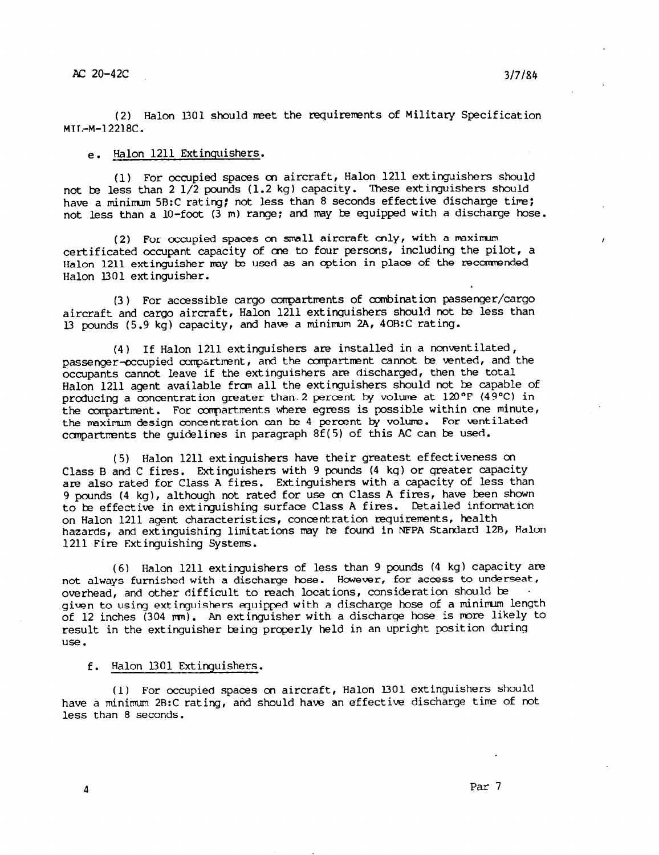(2) Halon 1301 should meet the requirements of Military Specification MIL-M-12218C.

e. Halon 1211 Extinguishers.

(1) For occupied spaces on aircraft, Halon 1211 extinguishers should not be less than 2 l/2 pounds (1.2 kg) capacity. These extinguishers should have a minimum 5B:C rating; not less than 8 seconds effective discharge time; not less than a  $10$ -foot (3 m) range; and may be equipped with a discharge hose.

(2) For occupied spaces cn small aircraft cnly, with a maxim certificated occupant capacity of cne to four persons, including the pilot, a Halon 1211 extinguisher may be used as an option in place of the recommended Halon l301 extinguisher.

(3) For accessible cargo corrpartments of oombination passenger/cargo aircraft and cargo aircraft, Halon 1211 extinguishers should not be less than l3 pounds (5.9 kg) capacity, and have a minimm 2A, 4OR:C rating.

(4) If Halon 1211 extinguishers are installed in a nonentilated, passenger-occupied compartment, and the compartment cannot be vented, and the occupants cannot leave if the extinguishers are discharged, then the total Halon 1211 agent available fran all the extinguishers should not be capable of producing a concentration greater than. 2 percent by volume at  $120^{\circ}$ F (49°C) in the compartment. For compartments where egress is possible within one minute, the maximum design concentration can be 4 percent by volume. For ventilated compartments the guidelines in paragraph 8f(5) of this AC can be used.

(5) Halon 1211 extinguishers have their greatest effectiveness cn Class R and C fires. Extinguishers with 9 pounds (4 kg) or greater capacity are also rated for Class A fires. Extinguishers with a capacity of less than 9 pounds (4 kg), although not rated for use cn Class A fires, have been shown to be effective in extinguishing surface Class A fires. Detailed information on Halon 1211 agent characteristics, concentration requirements, health hazards, and extinguishing limitations may be found in NFPA Standard 12R, Halon 1211 Fire Extinguishing Systems.

(6) Halon 1211 extinguishers of less than 9 pounds (4 kg) capacity are not always furnished with a discharge hose. However, for access to underseat, overhead, and other difficult to reach locations, consideration should be given to using extirquishers equipped with a discharge hose of a minirum length of 12 inches  $(304 \text{ mm})$ . An extinguisher with a discharge hose is more likely to result in the extinguisher being properly held in an upright position during use.

f. Halon 1301 Extinguishers.

(1) For occupied spaces on aircraft, Halon l301 extinguishers should have a minimum 2R:C rating, and should have an effective discharge tire of not nave a munimum zo:c.

 $\overline{1}$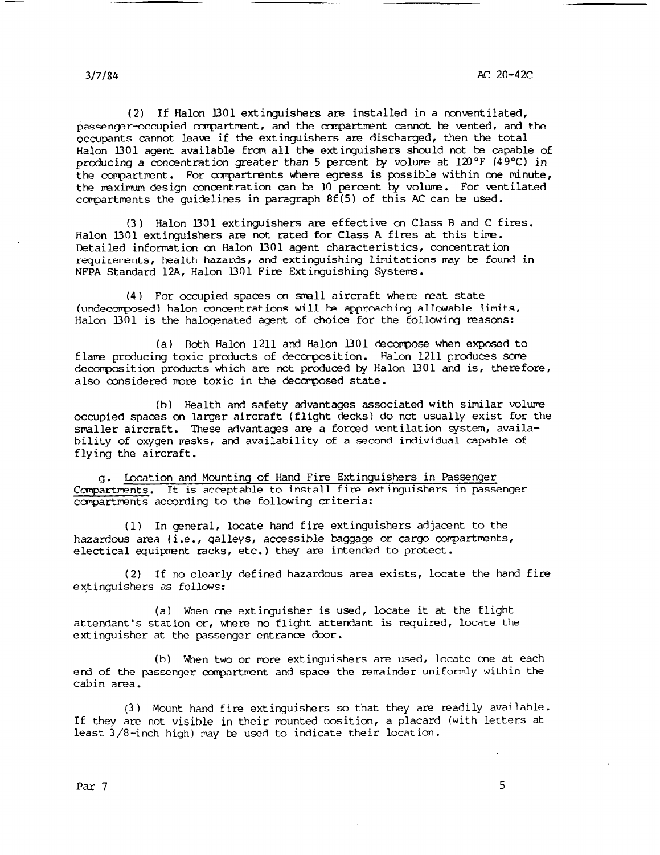(2) If Halon 1301 extinguishers are installed in a nonventilated, passenger-occupied compartment, and the compartment cannot he vented, and the occupants cannot leave if the extinguishers are discharged, then the total Halon 1301 agent available from all the extinguishers should not be capable of producing a concentration greater than 5 percent by volume at  $120^{\circ}F$  (49 $^{\circ}C$ ) in the compartment. For compartments where egress is possible within one minute, the maximum design concentration can be 10 percent by volume. For ventilated compartments the quidelines in paragraph  $8f(5)$  of this AC can be used.

(3) Halon 1301 extinguishers are effective cn Class R and C fires. Halon I301 extinguishers are not rated for Class A fires at this time. Detailed information on Halon l301 agent characteristics, concentration requirerents, health hazards, and extinguishing limitations may be found in NFPA Standard 12A, Halon l301 Fire Extinguishing Systems.

(4) For occupied spaces cn small aircraft where neat state  $(undecomposed)$  halon concentrations will be approaching allowable limits, Halon l301 is the halogenated agent of choice for the following reasons:

(a) Both Halon 1211 and Halon 1301 decorqose when exposed to flame producing toxic products of decorposition. Halon 1211 produces soma decomposition products which are not produced by Halon l301 and is, therefore, also considered more toxic in the decomposed state.

(h) Health and safety advantages associated with similar volume occupied spaces on larger aircraft (flight dacks) do not usually exist for the smaller aircraft. These advantages are a forced ventilation system, availability of oxygen masks, and availability of a second individual capable of flying the aircraft.

g. Location and Mounting of Hand Fire Extinguishers in Passenger Compartments. It is acceptable to install fire extinguishers in passenger compartments according to the following criteria:

(1) In general, locate hand fire extinguishers adjacent to the hazardous area (i.e., galleys, accessible baggage or cargo compartments, electical equipment racks, etc.) they are intended to protect.

(2) If no clearly defined hazardous area exists, locate the hand fire extinguishers as follows:

(a) When cne extinguisher is used, locate it at the flight attendant's station or, where no flight attendant is required, locate the extinguisher at the passenger entrance door.

(b) When two or more extinguishers are used, locate one at each end of the passenger compartment and space the remainder uniformly within the cabin area.

(3) Mount hand fire extinguishers so that they are readily available. If they are not visible in their rounted position, a placard (with letters at least 3/S-inch high) may be used to indicate their location.

**Contractor**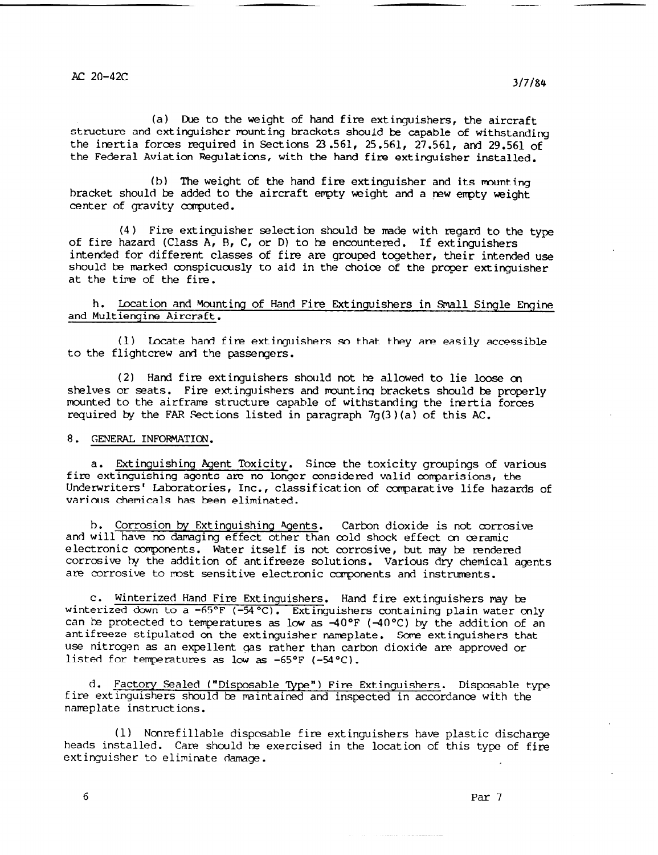## $AC$  20–42C  $3/7/84$

(a) Due to the weight of hand fire extinguishers, the aircraft structure and extinguisher rounting brackets should be capable of withstanding the inertia forces required in Sections  $23.561$ ,  $25.561$ ,  $27.561$ , and  $29.561$  of the Federal Aviation Regulations, with the hand fire extinguisher installed.

(b) The weight of the hand fire extinguisher and its mounting bracket should be added to the aircraft empty weight and a new empty weight center of gravity computed.

(4) Fire extinguisher selection should be made with regard to the type of fire hazard (Class A, B, C, or D) to be encountered. If extinguisher intended for different classes of fire are grouped together, their intended use should be marked conspicuously to aid in the choice of the proper extinguisher at the time of the fire.

h. Location and Mounting of Hand Fire Extinquishers in Small Single Engine and Multiengine Aircraft.

(1) Iccate hand fire extinguishers so that they are easily accessible to the flightcrew and the passengers.

(2) Hand fire extinguishers should not be allowed to lie loose cn shelves or seats. Fire extinguishers and rountinq brackets should be properly mounted to the airframe structure capable of withstanding the inertia forces required by the FAR Sections listed in paragraph  $7q(3)(a)$  of this AC.

8. GENERAL INFORMATION.

a. Extinguishing Agent Toxicity. Since the toxicity groupings of various fire extinguishing agents are no longer considered valid comparisions, the Underwriters' Laboratories, Inc., classification of comparative life hazards of various chemicals has been eliminated.

b. Corrosion by Extinguishing Agents. Carbon dioxide is not corrosive and will have no damaging effect other than cold shock effect cn oaramic electronic components. Water itself is not corrosive, but may be rendered corrosive by the addition of antifreeze solutions. Various dry chemical agents are corrosive to most sensitive electronic components and instruments.

Winterized Hand Fire Extinquishers. winterized dano fife EXCING. Hand fire extinguishers may be Shers. Hand tile exclinguishers hay be<br>Extinguishers containing plain water only  $\frac{1}{2}$  because to the  $\frac{1}{2}$  by the  $\frac{1}{2}$  by the additional by the addition of an analysis of  $\frac{1}{2}$ can be procedured to demperatures as low as  $-40 \times 10^{10}$  by the addition of a an experience superior of the excritinguisher nameplate. Some excinguishers that use nitrogen as an expellent gas rather than carbon dioxide are approved or listed for temperatures as low as  $-65^{\circ}F$  ( $-54^{\circ}C$ ).

d. Factory Sealed ("Disposable 'I&e") Fire Extinguishers. Disposable type  $\frac{1}{2}$  factory sealed (bisposable type) fire extinguishers. Disposable to fire extinguishers should be maintained and inspected in accordance with the nameplate instructions.

(1) Nonrefillable disposable fire extension  $\mathbf{r}$  is have plastic discharge plastic discharge plastic discharge the installed be excinguishers have plastic discharge. Care in the location of the location of the location of heads installed. Care should be exercised in the location of this type of fire extinguisher to eliminate damage.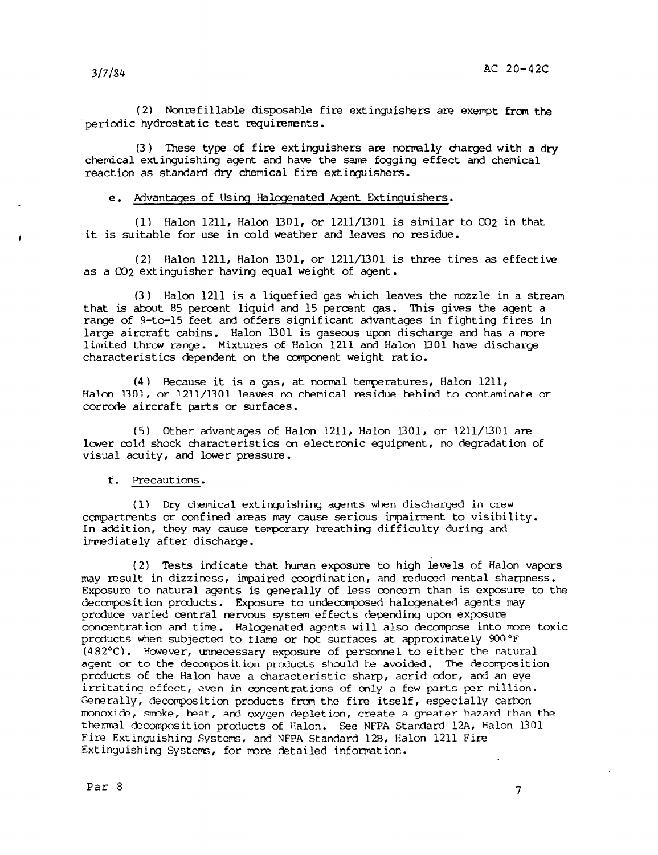### $3/7/84$

(2) Nonrefillable disposable fire extinguishers are exempt from the periodic hydrostatic test requirements.

(3) These type of fire extinguishers are normally charged with a dry chemical extinguishing agent and have the sama fogging effect and chemical reaction as standard dry chemicai fire extinguishers.

#### e. Advantages of Using Halogenated Agent Extinquishers.

(1) Halon 1211, Halon 1301, or 1211/1301 is similar to  $CO<sub>2</sub>$  in that it is suitable for use in cold weather and leaves no residue.

 $(2)$  Halon 1211, Halon 1301, or 1211/1301 is three times as effective as a Co2 extinguisher having equal weight of agent.

(3) Halon 1211 is a liquefied gas which leaves the nozzle in a stream that is about 85 percent liquid and 15 percent gas. This gives the agent a range of g-to-15 feet and offers significant advantages in fighting fires in large aircraft cabins. Halon 1301 is gaseous upon discharge and has a more limited threw range. Mixtures of Halon 1211 and Halon l301 have discharge characteristics dependent on the component weight ratio.

 $(4)$  Because it is a gas, at normal temperatures, Halon 1211, Halon 1301, or 1211/1301 leaves no chemical residue behind to contaminate or corrode aircraft parts or surfaces.

 $(5)$  Other advantages of Halon 1211, Halon 1301, or 1211/1301 are lower cold shock characteristics on electronic equipment, no degradation of visual acuity, and lower pressure.

#### f. Precautions.

(1) Dry chemical extinguishing agents when discharged in crew canpartmants or confined areas may cause serious impairment to visibility. In addition, they may cause tewrary breathing difficulty during and In attitudi, they hay cause

(2) Tests indicate that human exposure to high levels of Halon vapors may result in dizziness indicate coordination, and reduced rental sharpness.  $E_{\text{E}}$  is generally of the natural agents is generally of less concerns that is exposure to the theory of  $E_{\text{E}}$  is the theory of  $E_{\text{E}}$  is the theory of  $E_{\text{E}}$  is the theory of  $E_{\text{E}}$  is the theory of  $E_{\$ Exposure to natural agents is generally of less concern than is exposure to the decomposition products. Exposure to undecomposed halogenated agents may produce varied central nervous system effects depending upon exposure  $\alpha$  concentration and time  $\alpha$  is the more to decompose into more toxic decompose into more toxic  $\frac{p}{p}$  concentration and the  $\cdot$  halogenated agents will also decompose in  $\frac{p}{p}$ products when subjected to flame or hot surfaces at approximately 900°F  $(482^{\circ}\text{C})$ . However, unnecessary exposure of personnel to either the natural agent or to the decomposition products should be avoided. The decomposition products of the Halon have a characteristic sharp, acrid odor, and an eye irritating effect, even in concentrations of only a few parts per million. Generally, decomposition products from the fire itself, especially carbon monoxide, smoke, heat, and oxygen depletion, create a greater hazard than the thermal decomposition products of Halon. See NFPA Standard 12A, Halon 1301 Fire Extinguishing Systems, and NFPA Standard 12B, Halon 1211 Fire<br>Extinguishing Systems, for more detailed information.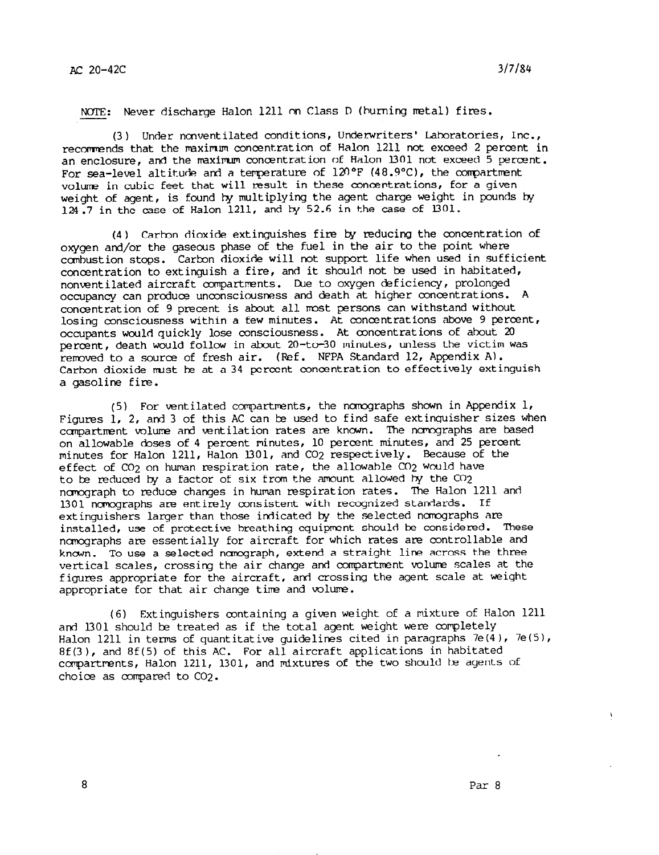NOTE: Never discharge Halon 1211 on Class D (humirq metal) fires.

(3) Under nonventilated conditions, Underwriters' Laboratories, Inc., recommends that the maximum concentration of Halon 1211 not exceed 2 percent in an enclosure, and the maximum concentration of Halon 1301 not exceed 5 percent. For sea-level altitude and a temperature of  $120^{\circ}$ F (48.9°C), the compartment volume in cubic feet that will result in these concentrations, for a given weight of agent, is found by multiplying the agent charge weight in pounds by  $124.7$  in the case of Halon 1211, and by 52.6 in the case of  $1301.$ 

(4) Carton dioxide extinguishes fire by reducing the concentration of oxygen and/or the gaseous phase of the fuel in the air to the point where combustion stops. Carbon dioxide will not support life when used in sufficient concentration to extinguish a fire, and it should not be used in habitated, nonventilated aircraft compartments. Due to oxygen deficiency, prolonged occupancy can produce unconsciousness and death at higher concentrations. A concentration of 9 precent is about all most persons can withstand without losing consciousness within a few minutes. At concentrations above 9 percent, occupants would quickly lose consciousness. At concentrations of about 20 percent, death would follow in about 20-to-30 minutes, unless the victim was removed to a source of fresh air. (Ref. NFPA Standard 12, Appendix A). Carbon dioxide must be at a 34 percent concentration to effectively extinguish a gasoline fire.

(5) For ventilated compartments, the ncmographs shown in Appendix 1, Figures 1, 2, and 3 of this AC can be used to find safe extinguisher sizes when compartment volume and ventilation rates are known. The nomographs are based on allowable doses of 4 percent minutes, 10 percent minutes, and 25 percent minutes for Halon 1211, Halon UOl, and CO2 respectively. Because of the effect of CO<sub>2</sub> on human respiration rate, the allowable CO<sub>2</sub> would have to be reduced by a factor of six from the amount allowed by the CO2 ncmograph to reduce changes in human respiration rates. The Halon 1211 and 1301 nomographs are entirely consistent with recognized standards. If extinguishers larger than those indicated by the selected nomographs are installed, use of protective breathing equipment should be considered. These nomographs are essentially for aircraft for which rates are controllable and known. To use a selected nomograph, extend a straight line across the three vertical scales, crossing the air change and compartment volume scales at the figures appropriate for the aircraft, and crossing the agent scale at weight appropriate for that air change time and volume.

(6) Extinguishers antaining a given weight of a mixture of Halon 1211 and l301 should be treated as if the total agent weight were completely  $H$  is the distribution in the contribution of  $\frac{1}{2}$  in the contribution of  $\frac{1}{2}(4)$ ,  $\frac{7}{2}(5)$ ,  $\frac{1}{2}$  for all and  $\frac{1}{2}$  of qualities of the set of the set all paragraphs  $\frac{1}{2}$  $\delta$  comparison in  $\delta$  . However, the two should be agents of the two should ba agents of comparements, nation is to Co2.

١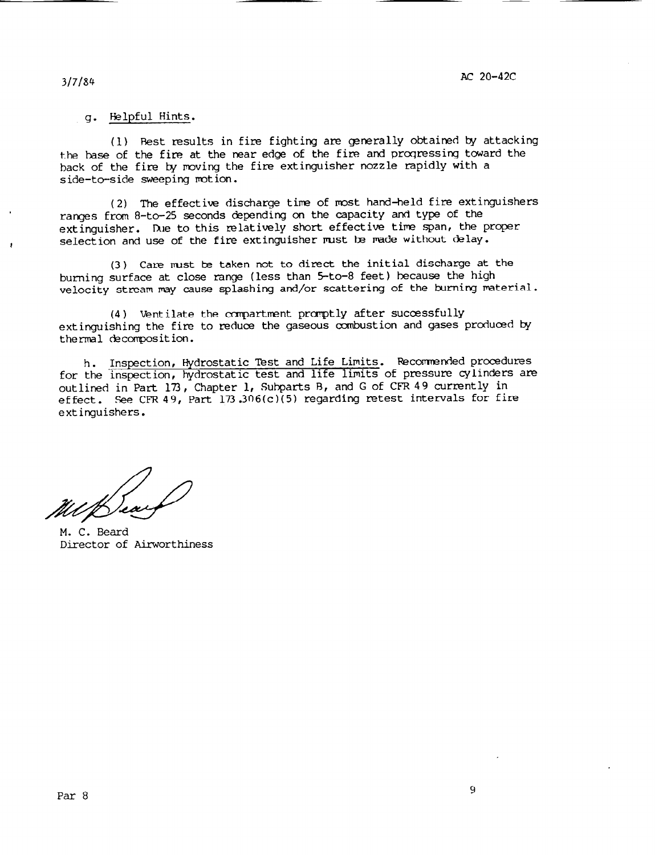#### g. Helpful Hints.

(1) nest results in fire fighting are generally obtained by attacking the base of the fire at the near edge of the fire and progressing toward the back of the fire by moving the fire extinguisher nozzle rapidly with a side-to-side sweeping motion.

(2) The effective discharge time of most hand-held fire extinguishers ranges from 8-to-25 seconds depending on the capacity and type of the extinguisher. Due to this relatively short effective time span, the proper selection and use of the fire extinguisher must be made without delay.

(3) Care rust ba taken not to direct the initial discharge at the burning surface at close range (less than 5-to-8 feet) because the high velocity stream may cause splashing and/or scattering of the burning material.

(4) Ventilate the ccmpartrnent promptly after successfully extinguishing the fire to reduce the gaseous combustion and gases produced by thermal &composition.

h. Inspection, Hydrostatic Test and Life Limits. Recommended procedures for the inspection, hydrostatic test and life limits of pressure cylinders are outlined in Part 173, Chapter 1, Subparts B, and G of CFR 49 currently in effect. See CFR 49, Part  $173.306(c)(5)$  regarding retest intervals for fire extinguishers.

M. C. Beard Director of Airworthiness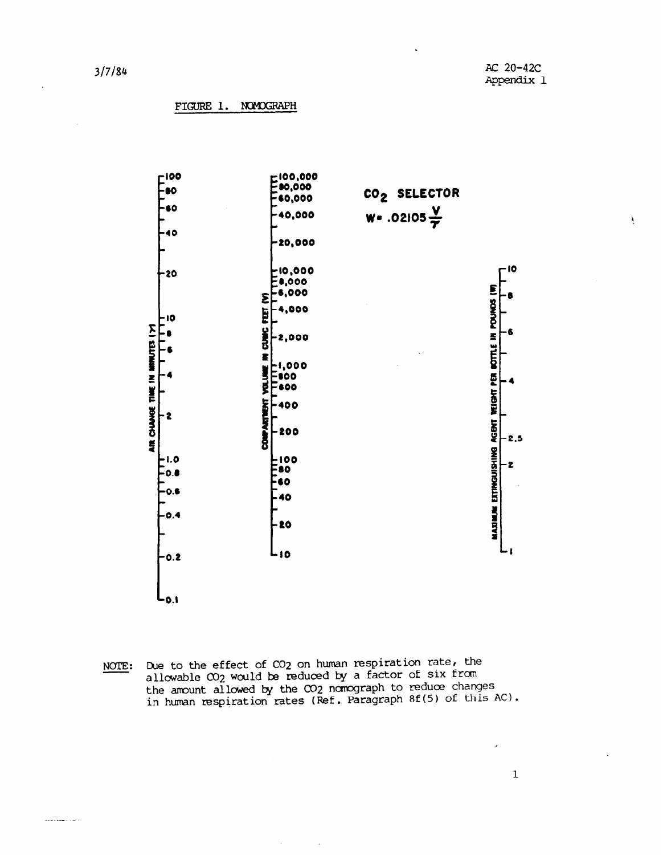¥

FIGURE 1. NOMOGRAPH



Due to the effect of CO<sub>2</sub> on human respiration rate, the NOTE: allowable  $\infty_2$  would be reduced by a factor of six from the amount allowed by the CO<sub>2</sub> nomograph to reduce changes in human respiration rates (Ref. Paragraph 8f(5) of this AC).

**Contract America** in the second

 $\mathbf{1}$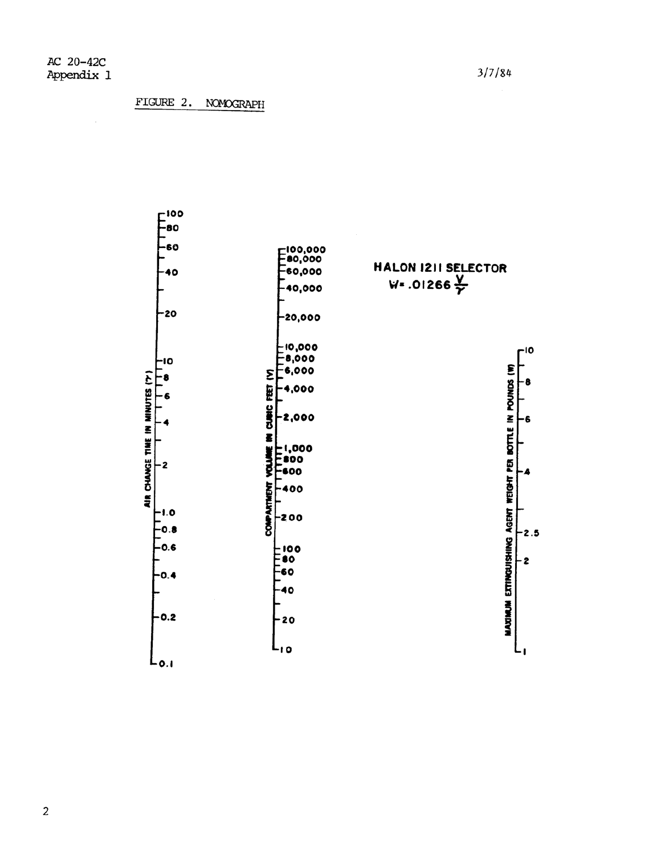#### FIGURE 2. NOMOGRAPH